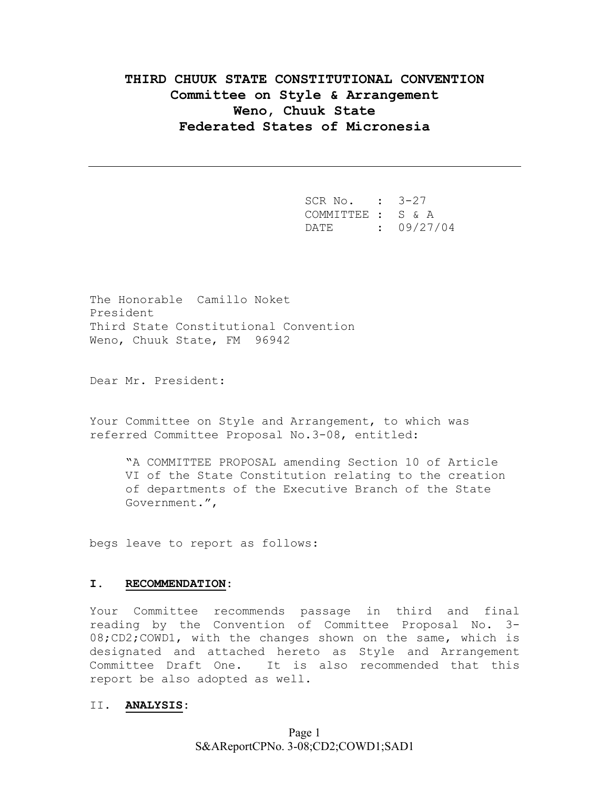# **THIRD CHUUK STATE CONSTITUTIONAL CONVENTION Committee on Style & Arrangement Weno, Chuuk State Federated States of Micronesia**

 SCR No. : 3-27 COMMITTEE : S & A DATE : 09/27/04

The Honorable Camillo Noket President Third State Constitutional Convention Weno, Chuuk State, FM 96942

Dear Mr. President:

Your Committee on Style and Arrangement, to which was referred Committee Proposal No.3-08, entitled:

"A COMMITTEE PROPOSAL amending Section 10 of Article VI of the State Constitution relating to the creation of departments of the Executive Branch of the State Government.",

begs leave to report as follows:

#### **I. RECOMMENDATION:**

Your Committee recommends passage in third and final reading by the Convention of Committee Proposal No. 3- 08;CD2;COWD1, with the changes shown on the same, which is designated and attached hereto as Style and Arrangement Committee Draft One. It is also recommended that this report be also adopted as well.

#### II. **ANALYSIS:**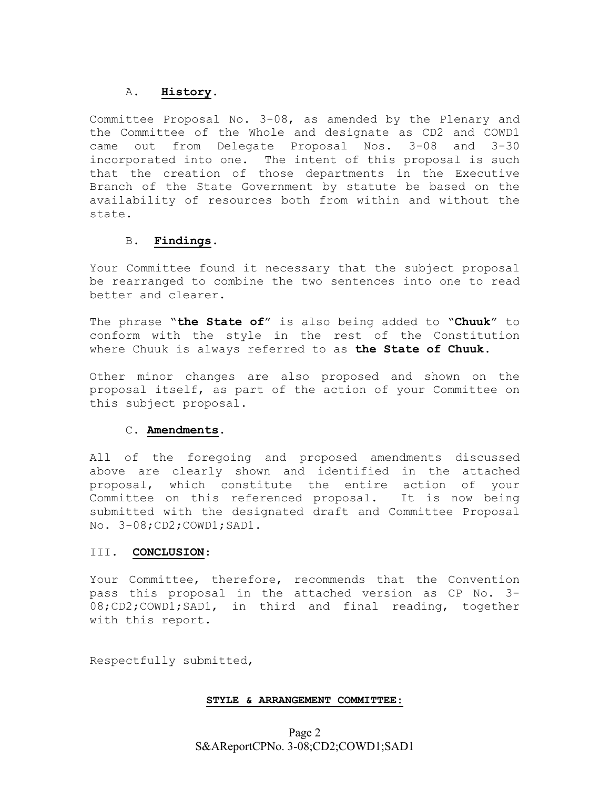## A. **History.**

Committee Proposal No. 3-08, as amended by the Plenary and the Committee of the Whole and designate as CD2 and COWD1 came out from Delegate Proposal Nos. 3-08 and 3-30 incorporated into one. The intent of this proposal is such that the creation of those departments in the Executive Branch of the State Government by statute be based on the availability of resources both from within and without the state.

## B**. Findings**.

Your Committee found it necessary that the subject proposal be rearranged to combine the two sentences into one to read better and clearer.

The phrase "**the State of**" is also being added to "**Chuuk**" to conform with the style in the rest of the Constitution where Chuuk is always referred to as **the State of Chuuk**.

Other minor changes are also proposed and shown on the proposal itself, as part of the action of your Committee on this subject proposal.

## C. **Amendments**.

All of the foregoing and proposed amendments discussed above are clearly shown and identified in the attached proposal, which constitute the entire action of your Committee on this referenced proposal. It is now being submitted with the designated draft and Committee Proposal No. 3-08;CD2;COWD1;SAD1.

## III. **CONCLUSION**:

Your Committee, therefore, recommends that the Convention pass this proposal in the attached version as CP No. 3- 08;CD2;COWD1;SAD1, in third and final reading, together with this report.

Respectfully submitted,

## **STYLE & ARRANGEMENT COMMITTEE:**